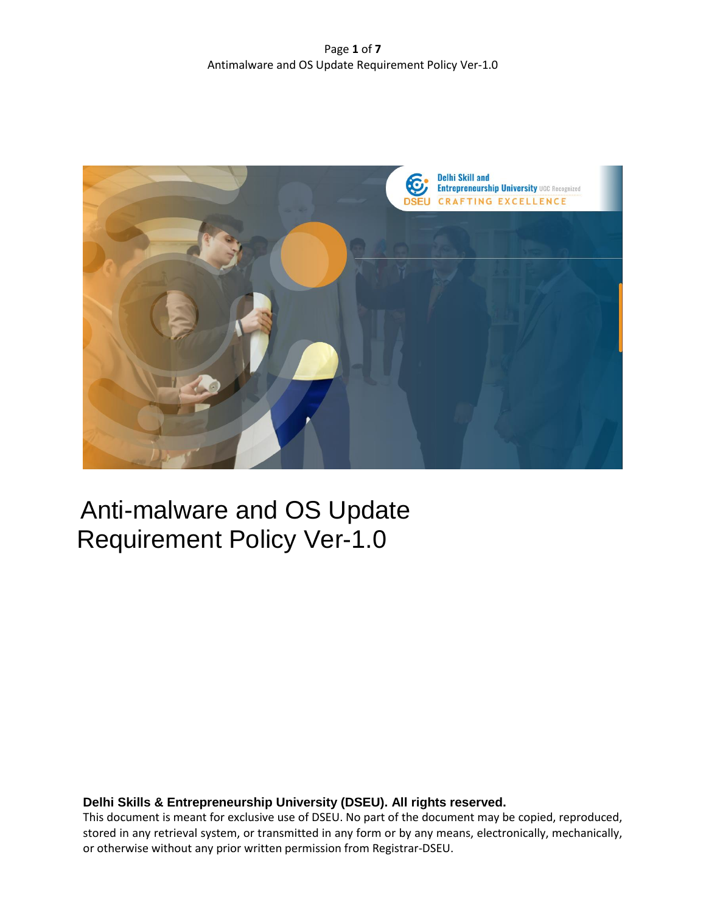

# Anti-malware and OS Update Requirement Policy Ver-1.0

# **Delhi Skills & Entrepreneurship University (DSEU). All rights reserved.**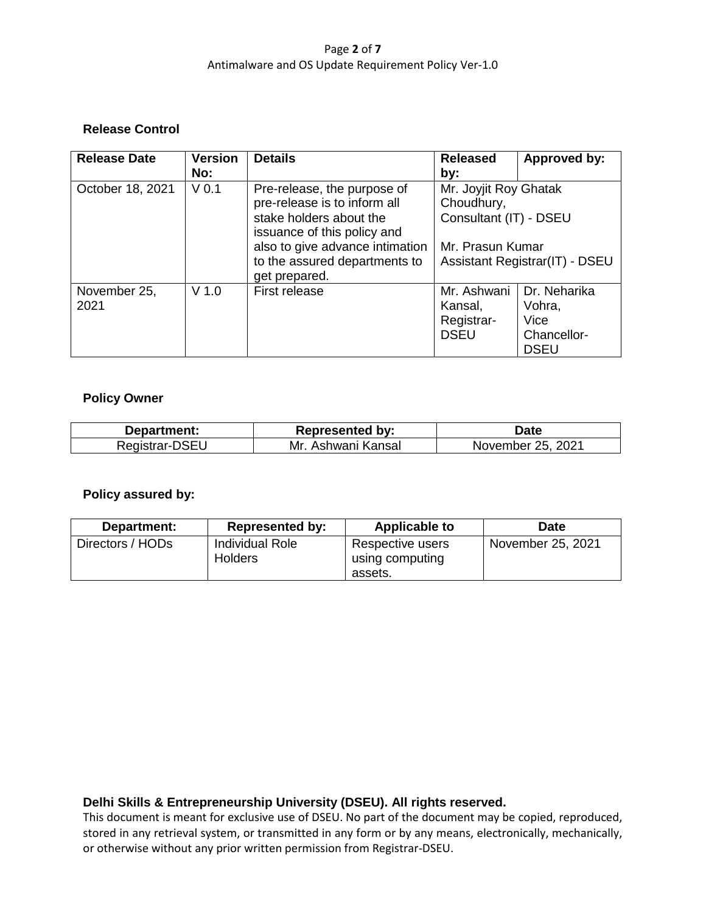# Page **2** of **7** Antimalware and OS Update Requirement Policy Ver-1.0

# **Release Control**

| <b>Release Date</b> | <b>Version</b>   | <b>Details</b>                  | <b>Released</b>                                    | Approved by: |
|---------------------|------------------|---------------------------------|----------------------------------------------------|--------------|
|                     | No:              |                                 | by:                                                |              |
| October 18, 2021    | V <sub>0.1</sub> | Pre-release, the purpose of     | Mr. Joyjit Roy Ghatak                              |              |
|                     |                  | pre-release is to inform all    | Choudhury,                                         |              |
|                     |                  | stake holders about the         | Consultant (IT) - DSEU                             |              |
|                     |                  | issuance of this policy and     |                                                    |              |
|                     |                  | also to give advance intimation | Mr. Prasun Kumar<br>Assistant Registrar(IT) - DSEU |              |
|                     |                  | to the assured departments to   |                                                    |              |
|                     |                  | get prepared.                   |                                                    |              |
| November 25,        | $V$ 1.0          | First release                   | Mr. Ashwani                                        | Dr. Neharika |
| 2021                |                  |                                 | Kansal,                                            | Vohra,       |
|                     |                  |                                 | Registrar-                                         | Vice         |
|                     |                  |                                 | <b>DSEU</b>                                        | Chancellor-  |
|                     |                  |                                 |                                                    | <b>DSEU</b>  |

#### **Policy Owner**

| Department:    | <b>Represented by:</b> | Date              |
|----------------|------------------------|-------------------|
| Registrar-DSEU | Mr. Ashwani Kansal     | November 25, 2021 |

## **Policy assured by:**

| Department:      | <b>Represented by:</b>                   | <b>Applicable to</b>                           | <b>Date</b>       |
|------------------|------------------------------------------|------------------------------------------------|-------------------|
| Directors / HODs | <b>Individual Role</b><br><b>Holders</b> | Respective users<br>using computing<br>assets. | November 25, 2021 |

# **Delhi Skills & Entrepreneurship University (DSEU). All rights reserved.**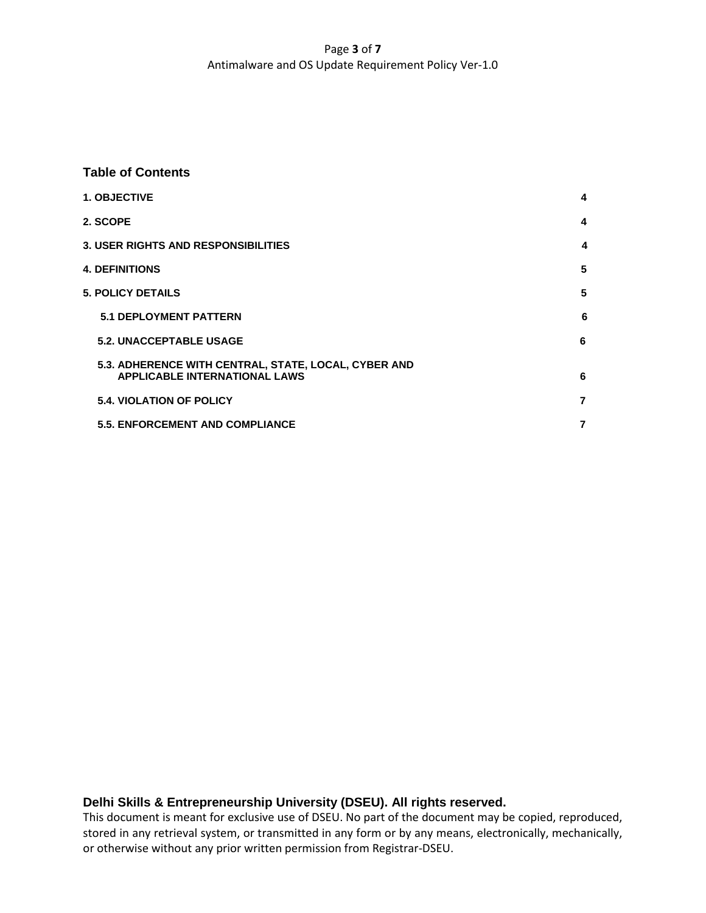# Page **3** of **7** Antimalware and OS Update Requirement Policy Ver-1.0

#### **Table of Contents**

| <b>1. OBJECTIVE</b>                                  | 4 |
|------------------------------------------------------|---|
| 2. SCOPE                                             | 4 |
| <b>3. USER RIGHTS AND RESPONSIBILITIES</b>           | 4 |
| <b>4. DEFINITIONS</b>                                | 5 |
| <b>5. POLICY DETAILS</b>                             | 5 |
| <b>5.1 DEPLOYMENT PATTERN</b>                        | 6 |
| 5.2. UNACCEPTABLE USAGE                              | 6 |
| 5.3. ADHERENCE WITH CENTRAL, STATE, LOCAL, CYBER AND |   |
| <b>APPLICABLE INTERNATIONAL LAWS</b>                 | 6 |
| <b>5.4. VIOLATION OF POLICY</b>                      | 7 |
| <b>5.5. ENFORCEMENT AND COMPLIANCE</b>               | 7 |

# **Delhi Skills & Entrepreneurship University (DSEU). All rights reserved.**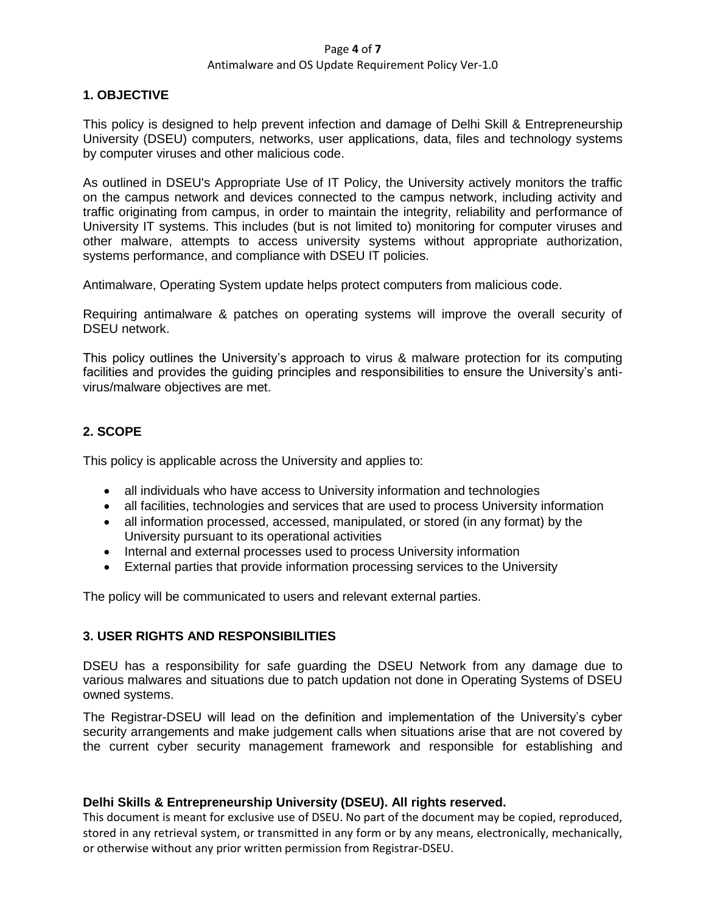#### Page **4** of **7**

#### Antimalware and OS Update Requirement Policy Ver-1.0

# **1. OBJECTIVE**

This policy is designed to help prevent infection and damage of Delhi Skill & Entrepreneurship University (DSEU) computers, networks, user applications, data, files and technology systems by computer viruses and other malicious code.

As outlined in DSEU's Appropriate Use of IT Policy, the University actively monitors the traffic on the campus network and devices connected to the campus network, including activity and traffic originating from campus, in order to maintain the integrity, reliability and performance of University IT systems. This includes (but is not limited to) monitoring for computer viruses and other malware, attempts to access university systems without appropriate authorization, systems performance, and compliance with DSEU IT policies.

Antimalware, Operating System update helps protect computers from malicious code.

Requiring antimalware & patches on operating systems will improve the overall security of DSEU network.

This policy outlines the University's approach to virus & malware protection for its computing facilities and provides the guiding principles and responsibilities to ensure the University's antivirus/malware objectives are met.

# **2. SCOPE**

This policy is applicable across the University and applies to:

- all individuals who have access to University information and technologies
- all facilities, technologies and services that are used to process University information
- all information processed, accessed, manipulated, or stored (in any format) by the University pursuant to its operational activities
- Internal and external processes used to process University information
- External parties that provide information processing services to the University

The policy will be communicated to users and relevant external parties.

# **3. USER RIGHTS AND RESPONSIBILITIES**

DSEU has a responsibility for safe guarding the DSEU Network from any damage due to various malwares and situations due to patch updation not done in Operating Systems of DSEU owned systems.

The Registrar-DSEU will lead on the definition and implementation of the University's cyber security arrangements and make judgement calls when situations arise that are not covered by the current cyber security management framework and responsible for establishing and

# **Delhi Skills & Entrepreneurship University (DSEU). All rights reserved.**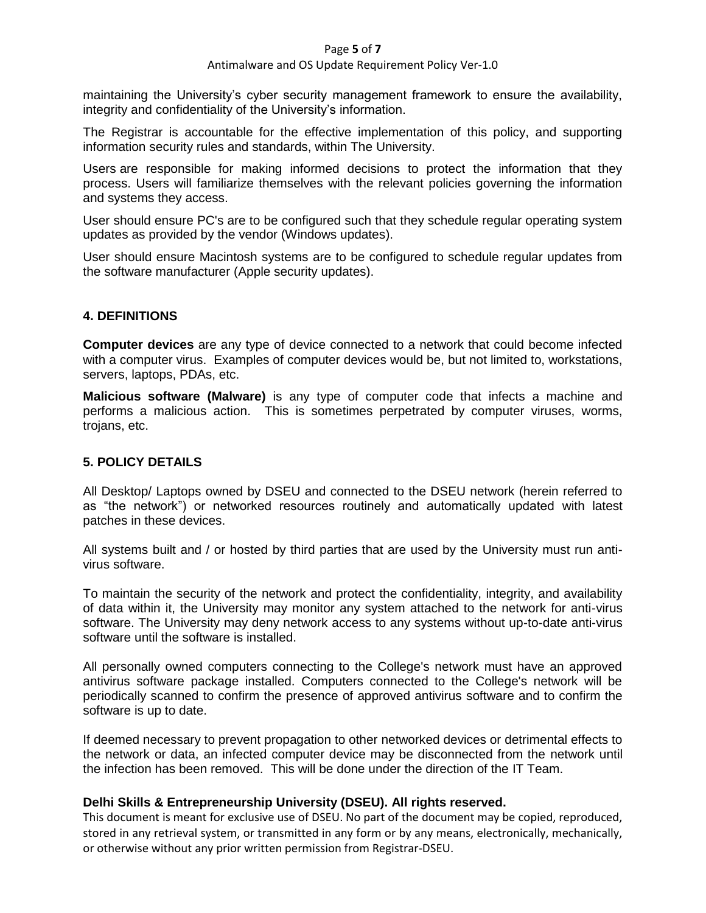#### Page **5** of **7**

#### Antimalware and OS Update Requirement Policy Ver-1.0

maintaining the University's cyber security management framework to ensure the availability, integrity and confidentiality of the University's information.

The Registrar is accountable for the effective implementation of this policy, and supporting information security rules and standards, within The University.

Users are responsible for making informed decisions to protect the information that they process. Users will familiarize themselves with the relevant policies governing the information and systems they access.

User should ensure PC's are to be configured such that they schedule regular operating system updates as provided by the vendor (Windows updates).

User should ensure Macintosh systems are to be configured to schedule regular updates from the software manufacturer (Apple security updates).

## **4. DEFINITIONS**

**Computer devices** are any type of device connected to a network that could become infected with a computer virus. Examples of computer devices would be, but not limited to, workstations, servers, laptops, PDAs, etc.

**Malicious software (Malware)** is any type of computer code that infects a machine and performs a malicious action. This is sometimes perpetrated by computer viruses, worms, trojans, etc.

# **5. POLICY DETAILS**

All Desktop/ Laptops owned by DSEU and connected to the DSEU network (herein referred to as "the network") or networked resources routinely and automatically updated with latest patches in these devices.

All systems built and / or hosted by third parties that are used by the University must run antivirus software.

To maintain the security of the network and protect the confidentiality, integrity, and availability of data within it, the University may monitor any system attached to the network for anti-virus software. The University may deny network access to any systems without up-to-date anti-virus software until the software is installed.

All personally owned computers connecting to the College's network must have an approved antivirus software package installed. Computers connected to the College's network will be periodically scanned to confirm the presence of approved antivirus software and to confirm the software is up to date.

If deemed necessary to prevent propagation to other networked devices or detrimental effects to the network or data, an infected computer device may be disconnected from the network until the infection has been removed. This will be done under the direction of the IT Team.

# **Delhi Skills & Entrepreneurship University (DSEU). All rights reserved.**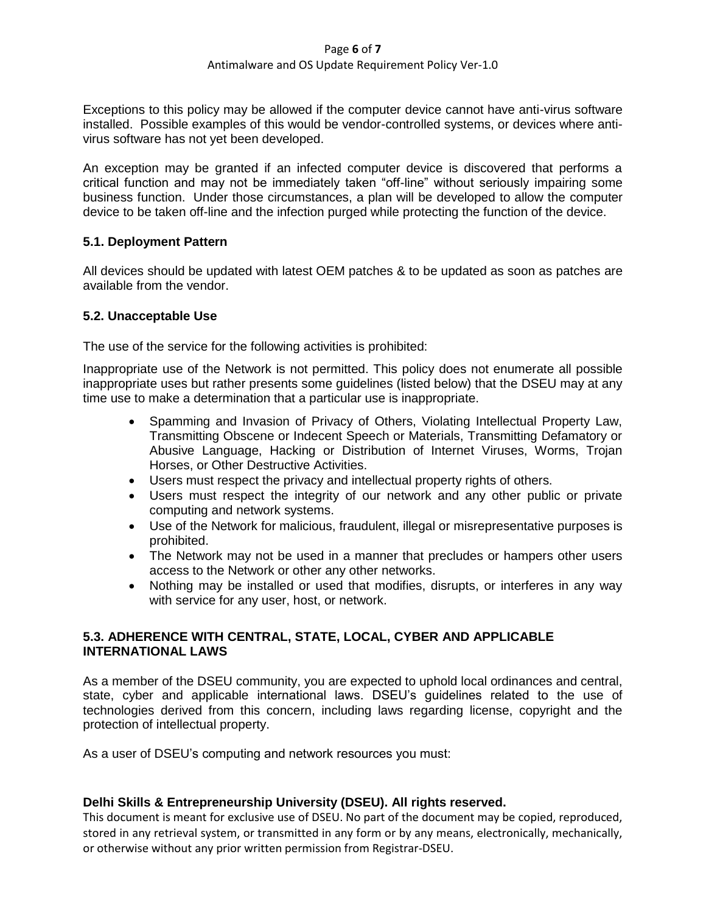#### Page **6** of **7**

#### Antimalware and OS Update Requirement Policy Ver-1.0

Exceptions to this policy may be allowed if the computer device cannot have anti-virus software installed. Possible examples of this would be vendor-controlled systems, or devices where antivirus software has not yet been developed.

An exception may be granted if an infected computer device is discovered that performs a critical function and may not be immediately taken "off-line" without seriously impairing some business function. Under those circumstances, a plan will be developed to allow the computer device to be taken off-line and the infection purged while protecting the function of the device.

# **5.1. Deployment Pattern**

All devices should be updated with latest OEM patches & to be updated as soon as patches are available from the vendor.

# **5.2. Unacceptable Use**

The use of the service for the following activities is prohibited:

Inappropriate use of the Network is not permitted. This policy does not enumerate all possible inappropriate uses but rather presents some guidelines (listed below) that the DSEU may at any time use to make a determination that a particular use is inappropriate.

- Spamming and Invasion of Privacy of Others, Violating Intellectual Property Law, Transmitting Obscene or Indecent Speech or Materials, Transmitting Defamatory or Abusive Language, Hacking or Distribution of Internet Viruses, Worms, Trojan Horses, or Other Destructive Activities.
- Users must respect the privacy and intellectual property rights of others.
- Users must respect the integrity of our network and any other public or private computing and network systems.
- Use of the Network for malicious, fraudulent, illegal or misrepresentative purposes is prohibited.
- The Network may not be used in a manner that precludes or hampers other users access to the Network or other any other networks.
- Nothing may be installed or used that modifies, disrupts, or interferes in any way with service for any user, host, or network.

# **5.3. ADHERENCE WITH CENTRAL, STATE, LOCAL, CYBER AND APPLICABLE INTERNATIONAL LAWS**

As a member of the DSEU community, you are expected to uphold local ordinances and central, state, cyber and applicable international laws. DSEU's guidelines related to the use of technologies derived from this concern, including laws regarding license, copyright and the protection of intellectual property.

As a user of DSEU's computing and network resources you must:

# **Delhi Skills & Entrepreneurship University (DSEU). All rights reserved.**